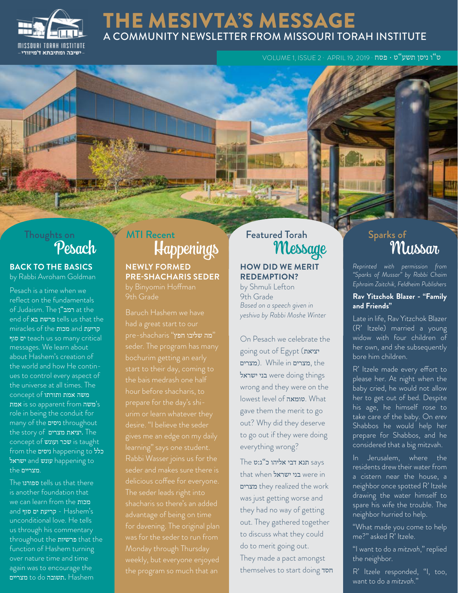

### THE MESIVTA'S MESSAGE A COMMUNITY NEWSLETTER FROM MISSOURI TORAH INSTITUTE

ט"ו ניסן תשע"ט · פסח · 2019 19, APRIL · 2 ISSUE 1, VOLUME

# Thoughts on

#### **BACK TO THE BASICS** by Rabbi Avroham Goldman

Pesach is a time when we reflect on the fundamentals of Judaism. The רמב"ן at the end of בא פרשת tells us that the miracles of the מכות and קריעת סוף ים teach us so many critical messages. We learn about about Hashem's creation of the world and how He continues to control every aspect of the universe at all times. The משה אמת ותורתו concept of אמת is so apparent from משה's role in being the conduit for many of the ניסים throughout the story of מצרים יציאת. The concept of ועכר ועונש is taught from the ניסים happening to כלל ישראל happening to .מצריים the

The ספורנו tells us that there is another foundation that we can learn from the מכות and קריעת ים סוף - Hashem's unconditional love. He tells us through his commentary throughout the פרשיות that the function of Hashem turning over nature time and time again was to encourage the מצריים to do תשובה. Hashem

## Pesach Happenings MTI Recent Featured Torah

### **NEWLY FORMED PRE-SHACHARIS SEDER**

9th Grade

 "מה שליבו חפץ" shacharis-pre seder. The program has many the bais medrash one half desire. "I believe the seder The seder leads right into shacharis so there's an added was for the seder to run from Monday through Thursday the program so much that an

#### **HOW DID WE MERIT REDEMPTION?**

by Shmuli Lefton 9th Grade *Based on a speech given in yeshiva by Rabbi Moshe Winter*

On Pesach we celebrate the going out of Egypt (יציאת מצרים (. While in מצרים, the ישראל were doing things wrong and they were on the lowest level of טומאה. What gave them the merit to go out? Why did they deserve to go out if they were doing everything wrong?

 says תנא דבי אליהו כ"ג:ט The that when בני ישראל מצרים they realized the work was just getting worse and they had no way of getting out. They gathered together to discuss what they could do to merit going out. They made a pact amongst themselves to start doing חסד

# ed Torah Sparks of Sparks of Wussar

*Reprinted with permission from "Sparks of Mussar" by Rabbi Chaim Ephraim Zaitchik, Feldheim Publishers*

#### **Rav Yitzchok Blazer - "Family and Friends"**

Late in life, Rav Yitzchok Blazer (R' Itzele) married a young widow with four children of her own, and she subsequently bore him children.

R' Itzele made every effort to please her. At night when the baby cried, he would not allow her to get out of bed. Despite his age, he himself rose to take care of the baby. On *erev*  Shabbos he would help her prepare for Shabbos, and he considered that a big mitzvah.

In Jerusalem, where the residents drew their water from a cistern near the house, a neighbor once spotted R' Itzele drawing the water himself to spare his wife the trouble. The neighbor hurried to help.

"What made you come to help me?" asked R' Itzele.

"I want to do a *mitzvah*," replied the neighbor.

R' Itzele responded, "I, too, want to do a *mitzvah*."